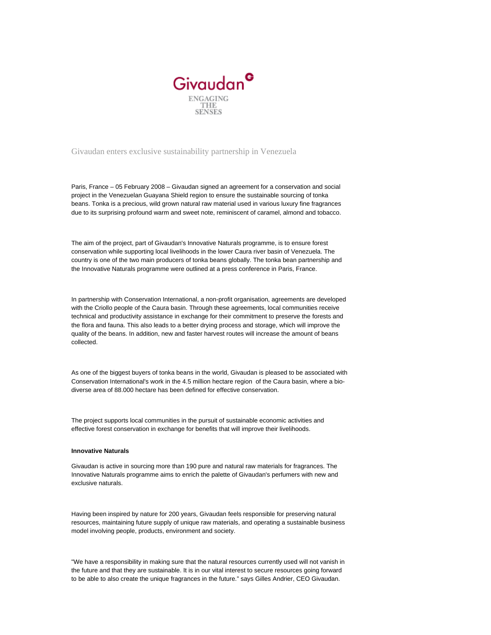

## Givaudan enters exclusive sustainability partnership in Venezuela

Paris, France – 05 February 2008 – Givaudan signed an agreement for a conservation and social project in the Venezuelan Guayana Shield region to ensure the sustainable sourcing of tonka beans. Tonka is a precious, wild grown natural raw material used in various luxury fine fragrances due to its surprising profound warm and sweet note, reminiscent of caramel, almond and tobacco.

The aim of the project, part of Givaudan's Innovative Naturals programme, is to ensure forest conservation while supporting local livelihoods in the lower Caura river basin of Venezuela. The country is one of the two main producers of tonka beans globally. The tonka bean partnership and the Innovative Naturals programme were outlined at a press conference in Paris, France.

In partnership with Conservation International, a non-profit organisation, agreements are developed with the Criollo people of the Caura basin. Through these agreements, local communities receive technical and productivity assistance in exchange for their commitment to preserve the forests and the flora and fauna. This also leads to a better drying process and storage, which will improve the quality of the beans. In addition, new and faster harvest routes will increase the amount of beans collected.

As one of the biggest buyers of tonka beans in the world, Givaudan is pleased to be associated with Conservation International's work in the 4.5 million hectare region of the Caura basin, where a biodiverse area of 88.000 hectare has been defined for effective conservation.

The project supports local communities in the pursuit of sustainable economic activities and effective forest conservation in exchange for benefits that will improve their livelihoods.

## **Innovative Naturals**

Givaudan is active in sourcing more than 190 pure and natural raw materials for fragrances. The Innovative Naturals programme aims to enrich the palette of Givaudan's perfumers with new and exclusive naturals.

Having been inspired by nature for 200 years, Givaudan feels responsible for preserving natural resources, maintaining future supply of unique raw materials, and operating a sustainable business model involving people, products, environment and society.

"We have a responsibility in making sure that the natural resources currently used will not vanish in the future and that they are sustainable. It is in our vital interest to secure resources going forward to be able to also create the unique fragrances in the future." says Gilles Andrier, CEO Givaudan.